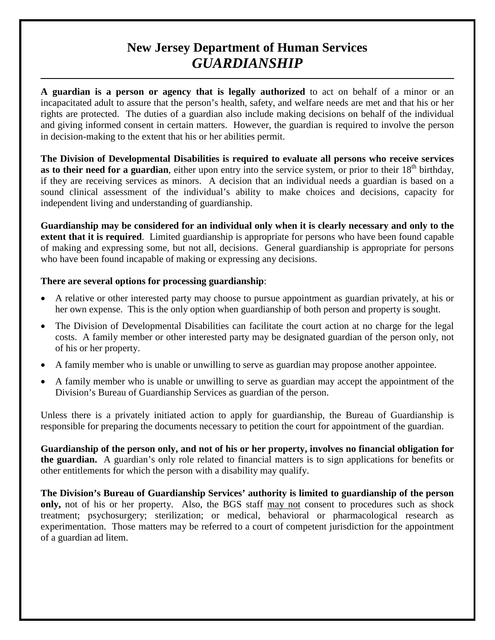# **New Jersey Department of Human Services** *GUARDIANSHIP*

**A guardian is a person or agency that is legally authorized** to act on behalf of a minor or an incapacitated adult to assure that the person's health, safety, and welfare needs are met and that his or her rights are protected. The duties of a guardian also include making decisions on behalf of the individual and giving informed consent in certain matters. However, the guardian is required to involve the person in decision-making to the extent that his or her abilities permit.

**The Division of Developmental Disabilities is required to evaluate all persons who receive services as to their need for a guardian**, either upon entry into the service system, or prior to their  $18<sup>th</sup>$  birthday, if they are receiving services as minors. A decision that an individual needs a guardian is based on a sound clinical assessment of the individual's ability to make choices and decisions, capacity for independent living and understanding of guardianship.

**Guardianship may be considered for an individual only when it is clearly necessary and only to the extent that it is required**. Limited guardianship is appropriate for persons who have been found capable of making and expressing some, but not all, decisions. General guardianship is appropriate for persons who have been found incapable of making or expressing any decisions.

#### **There are several options for processing guardianship**:

- A relative or other interested party may choose to pursue appointment as guardian privately, at his or her own expense. This is the only option when guardianship of both person and property is sought.
- The Division of Developmental Disabilities can facilitate the court action at no charge for the legal costs. A family member or other interested party may be designated guardian of the person only, not of his or her property.
- A family member who is unable or unwilling to serve as guardian may propose another appointee.
- A family member who is unable or unwilling to serve as guardian may accept the appointment of the Division's Bureau of Guardianship Services as guardian of the person.

Unless there is a privately initiated action to apply for guardianship, the Bureau of Guardianship is responsible for preparing the documents necessary to petition the court for appointment of the guardian.

**Guardianship of the person only, and not of his or her property, involves no financial obligation for the guardian.** A guardian's only role related to financial matters is to sign applications for benefits or other entitlements for which the person with a disability may qualify.

**The Division's Bureau of Guardianship Services' authority is limited to guardianship of the person only,** not of his or her property. Also, the BGS staff may not consent to procedures such as shock treatment; psychosurgery; sterilization; or medical, behavioral or pharmacological research as experimentation. Those matters may be referred to a court of competent jurisdiction for the appointment of a guardian ad litem.